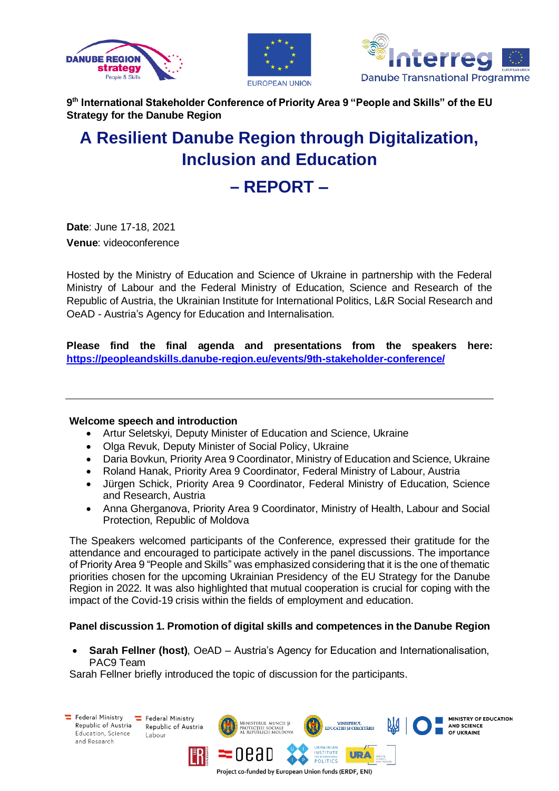





**9 th International Stakeholder Conference of Priority Area 9 "People and Skills" of the EU Strategy for the Danube Region**

# **A Resilient Danube Region through Digitalization, Inclusion and Education**

# **– REPORT –**

**Date**: June 17-18, 2021 **Venue**: videoconference

Hosted by the Ministry of Education and Science of Ukraine in partnership with the Federal Ministry of Labour and the Federal Ministry of Education, Science and Research of the Republic of Austria, the Ukrainian Institute for International Politics, L&R Social Research and OeAD - Austria's Agency for Education and Internalisation.

**Please find the final agenda and presentations from the speakers here: <https://peopleandskills.danube-region.eu/events/9th-stakeholder-conference/>**

# **Welcome speech and introduction**

- Artur Seletskyi, Deputy Minister of Education and Science, Ukraine
- Olga Revuk, Deputy Minister of Social Policy, Ukraine
- Daria Bovkun, Priority Area 9 Coordinator, Ministry of Education and Science, Ukraine
- Roland Hanak, Priority Area 9 Coordinator, Federal Ministry of Labour, Austria
- Jürgen Schick, Priority Area 9 Coordinator, Federal Ministry of Education, Science and Research, Austria
- Anna Gherganova, Priority Area 9 Coordinator, Ministry of Health, Labour and Social Protection, Republic of Moldova

The Speakers welcomed participants of the Conference, expressed their gratitude for the attendance and encouraged to participate actively in the panel discussions. The importance of Priority Area 9 "People and Skills" was emphasized considering that it is the one of thematic priorities chosen for the upcoming Ukrainian Presidency of the EU Strategy for the Danube Region in 2022. It was also highlighted that mutual cooperation is crucial for coping with the impact of the Covid-19 crisis within the fields of employment and education.

# **Panel discussion 1. Promotion of digital skills and competences in the Danube Region**

• **Sarah Fellner (host)**, OeAD – Austria's Agency for Education and Internationalisation, PAC9 Team

Sarah Fellner briefly introduced the topic of discussion for the participants.

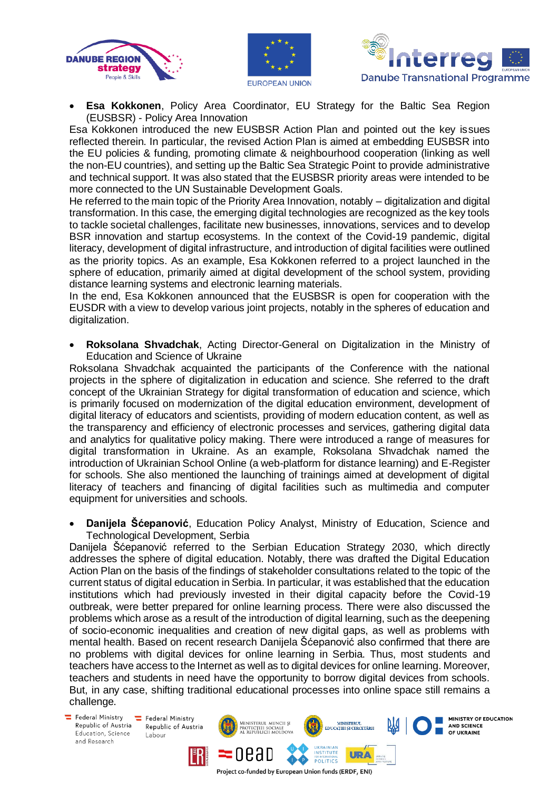





• **Esa Kokkonen**, Policy Area Coordinator, EU Strategy for the Baltic Sea Region (EUSBSR) - Policy Area Innovation

Esa Kokkonen introduced the new EUSBSR Action Plan and pointed out the key issues reflected therein. In particular, the revised Action Plan is aimed at embedding EUSBSR into the EU policies & funding, promoting climate & neighbourhood cooperation (linking as well the non-EU countries), and setting up the Baltic Sea Strategic Point to provide administrative and technical support. It was also stated that the EUSBSR priority areas were intended to be more connected to the UN Sustainable Development Goals.

He referred to the main topic of the Priority Area Innovation, notably – digitalization and digital transformation. In this case, the emerging digital technologies are recognized as the key tools to tackle societal challenges, facilitate new businesses, innovations, services and to develop BSR innovation and startup ecosystems. In the context of the Covid-19 pandemic, digital literacy, development of digital infrastructure, and introduction of digital facilities were outlined as the priority topics. As an example, Esa Kokkonen referred to a project launched in the sphere of education, primarily aimed at digital development of the school system, providing distance learning systems and electronic learning materials.

In the end, Esa Kokkonen announced that the EUSBSR is open for cooperation with the EUSDR with a view to develop various joint projects, notably in the spheres of education and digitalization.

• **Roksolana Shvadchak**, Acting Director-General on Digitalization in the Ministry of Education and Science of Ukraine

Roksolana Shvadchak acquainted the participants of the Conference with the national projects in the sphere of digitalization in education and science. She referred to the draft concept of the Ukrainian Strategy for digital transformation of education and science, which is primarily focused on modernization of the digital education environment, development of digital literacy of educators and scientists, providing of modern education content, as well as the transparency and efficiency of electronic processes and services, gathering digital data and analytics for qualitative policy making. There were introduced a range of measures for digital transformation in Ukraine. As an example, Roksolana Shvadchak named the introduction of Ukrainian School Online (a web-platform for distance learning) and E-Register for schools. She also mentioned the launching of trainings aimed at development of digital literacy of teachers and financing of digital facilities such as multimedia and computer equipment for universities and schools.

• **Danijela Šćepanović**, Education Policy Analyst, Ministry of Education, Science and Technological Development, Serbia

Danijela Šćepanović referred to the Serbian Education Strategy 2030, which directly addresses the sphere of digital education. Notably, there was drafted the Digital Education Action Plan on the basis of the findings of stakeholder consultations related to the topic of the current status of digital education in Serbia. In particular, it was established that the education institutions which had previously invested in their digital capacity before the Covid-19 outbreak, were better prepared for online learning process. There were also discussed the problems which arose as a result of the introduction of digital learning, such as the deepening of socio-economic inequalities and creation of new digital gaps, as well as problems with mental health. Based on recent research Danijela Šćepanović also confirmed that there are no problems with digital devices for online learning in Serbia. Thus, most students and teachers have access to the Internet as well as to digital devices for online learning. Moreover, teachers and students in need have the opportunity to borrow digital devices from schools. But, in any case, shifting traditional educational processes into online space still remains a challenge.

 $E$  Federal Ministry Republic of Austria Education, Science and Research

Federal Ministry Republic of Austria Labour

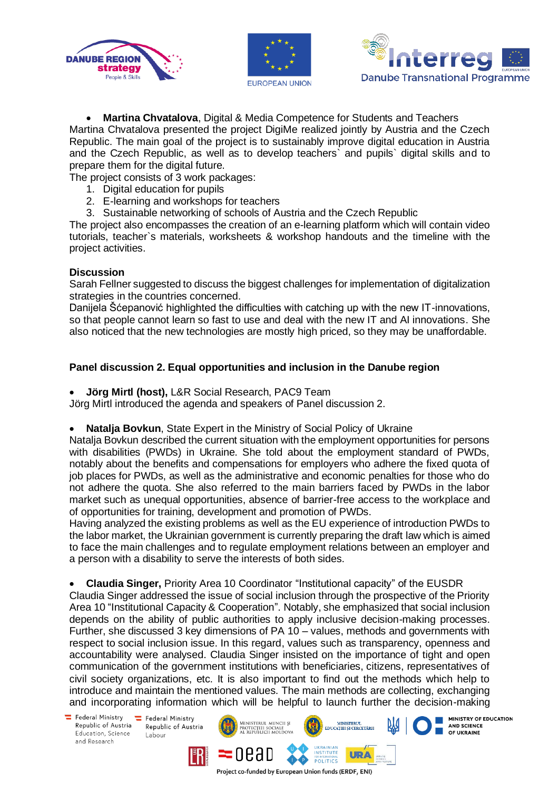





MINISTRY OF EDUCATION

AND SCIENCE

OF UKRAINE

• **Martina Chvatalova**, Digital & Media Competence for Students and Teachers Martina Chvatalova presented the project DigiMe realized jointly by Austria and the Czech Republic. The main goal of the project is to sustainably improve digital education in Austria and the Czech Republic, as well as to develop teachers` and pupils` digital skills and to prepare them for the digital future.

The project consists of 3 work packages:

- 1. Digital education for pupils
- 2. E-learning and workshops for teachers
- 3. Sustainable networking of schools of Austria and the Czech Republic

The project also encompasses the creation of an e-learning platform which will contain video tutorials, teacher`s materials, worksheets & workshop handouts and the timeline with the project activities.

#### **Discussion**

Sarah Fellner suggested to discuss the biggest challenges for implementation of digitalization strategies in the countries concerned.

Danijela Šćepanović highlighted the difficulties with catching up with the new IT-innovations, so that people cannot learn so fast to use and deal with the new IT and AI innovations. She also noticed that the new technologies are mostly high priced, so they may be unaffordable.

# **Panel discussion 2. Equal opportunities and inclusion in the Danube region**

• **Jörg Mirtl (host),** L&R Social Research, PAC9 Team

Jörg Mirtl introduced the agenda and speakers of Panel discussion 2.

• **Natalja Bovkun**, State Expert in the Ministry of Social Policy of Ukraine

Natalja Bovkun described the current situation with the employment opportunities for persons with disabilities (PWDs) in Ukraine. She told about the employment standard of PWDs, notably about the benefits and compensations for employers who adhere the fixed quota of job places for PWDs, as well as the administrative and economic penalties for those who do not adhere the quota. She also referred to the main barriers faced by PWDs in the labor market such as unequal opportunities, absence of barrier-free access to the workplace and of opportunities for training, development and promotion of PWDs.

Having analyzed the existing problems as well as the EU experience of introduction PWDs to the labor market, the Ukrainian government is currently preparing the draft law which is aimed to face the main challenges and to regulate employment relations between an employer and a person with a disability to serve the interests of both sides.

• **Claudia Singer,** Priority Area 10 Coordinator "Institutional capacity" of the EUSDR Claudia Singer addressed the issue of social inclusion through the prospective of the Priority Area 10 "Institutional Capacity & Cooperation". Notably, she emphasized that social inclusion depends on the ability of public authorities to apply inclusive decision-making processes. Further, she discussed 3 key dimensions of PA 10 – values, methods and governments with respect to social inclusion issue. In this regard, values such as transparency, openness and accountability were analysed. Claudia Singer insisted on the importance of tight and open communication of the government institutions with beneficiaries, citizens, representatives of civil society organizations, etc. It is also important to find out the methods which help to introduce and maintain the mentioned values. The main methods are collecting, exchanging and incorporating information which will be helpful to launch further the decision-making

Federal Ministry Republic of Austria Education, Science and Research

E Federal Ministry Republic of Austria Labour

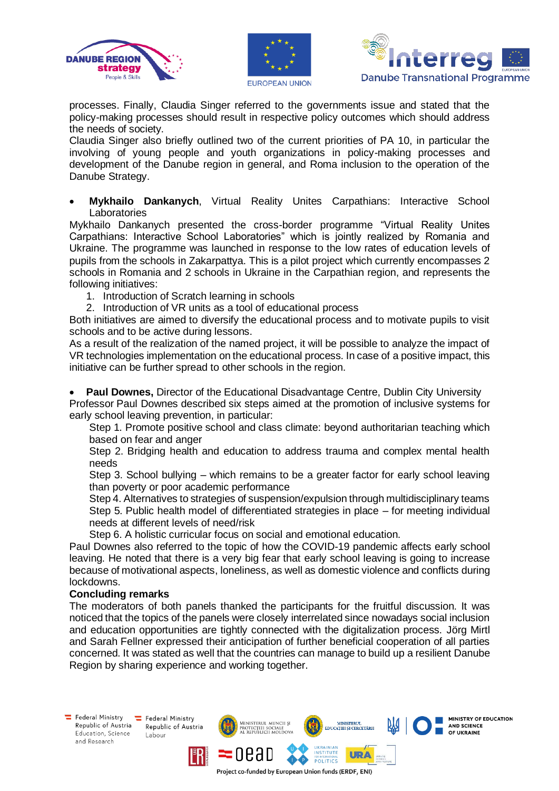





MINISTRY OF EDUCATION

**AND SCIENCE** 

OF UKRAINE

processes. Finally, Claudia Singer referred to the governments issue and stated that the policy-making processes should result in respective policy outcomes which should address the needs of society.

Claudia Singer also briefly outlined two of the current priorities of PA 10, in particular the involving of young people and youth organizations in policy-making processes and development of the Danube region in general, and Roma inclusion to the operation of the Danube Strategy.

• **Mykhailo Dankanych**, Virtual Reality Unites Carpathians: Interactive School Laboratories

Mykhailo Dankanych presented the cross-border programme "Virtual Reality Unites Carpathians: Interactive School Laboratories" which is jointly realized by Romania and Ukraine. The programme was launched in response to the low rates of education levels of pupils from the schools in Zakarpattya. This is a pilot project which currently encompasses 2 schools in Romania and 2 schools in Ukraine in the Carpathian region, and represents the following initiatives:

- 1. Introduction of Scratch learning in schools
- 2. Introduction of VR units as a tool of educational process

Both initiatives are aimed to diversify the educational process and to motivate pupils to visit schools and to be active during lessons.

As a result of the realization of the named project, it will be possible to analyze the impact of VR technologies implementation on the educational process. In case of a positive impact, this initiative can be further spread to other schools in the region.

• **Paul Downes,** Director of the Educational Disadvantage Centre, Dublin City University Professor Paul Downes described six steps aimed at the promotion of inclusive systems for early school leaving prevention, in particular:

Step 1. Promote positive school and class climate: beyond authoritarian teaching which based on fear and anger

Step 2. Bridging health and education to address trauma and complex mental health needs

Step 3. School bullying – which remains to be a greater factor for early school leaving than poverty or poor academic performance

Step 4. Alternatives to strategies of suspension/expulsion through multidisciplinary teams Step 5. Public health model of differentiated strategies in place – for meeting individual needs at different levels of need/risk

Step 6. A holistic curricular focus on social and emotional education.

Paul Downes also referred to the topic of how the COVID-19 pandemic affects early school leaving. He noted that there is a very big fear that early school leaving is going to increase because of motivational aspects, loneliness, as well as domestic violence and conflicts during lockdowns.

#### **Concluding remarks**

The moderators of both panels thanked the participants for the fruitful discussion. It was noticed that the topics of the panels were closely interrelated since nowadays social inclusion and education opportunities are tightly connected with the digitalization process. Jörg Mirtl and Sarah Fellner expressed their anticipation of further beneficial cooperation of all parties concerned. It was stated as well that the countries can manage to build up a resilient Danube Region by sharing experience and working together.

**ISTERUL MUNCII SI** 

oead

MINISTERUL<br>EDUCAȚIEI ȘI CERCETĂRI

**URA** 

**INSTITUTE** 

**POLITICS** 

Project co-funded by European Union funds (ERDF, ENI)

Federal Ministry Republic of Austria Education, Science and Research

Federal Ministry Republic of Austria Labour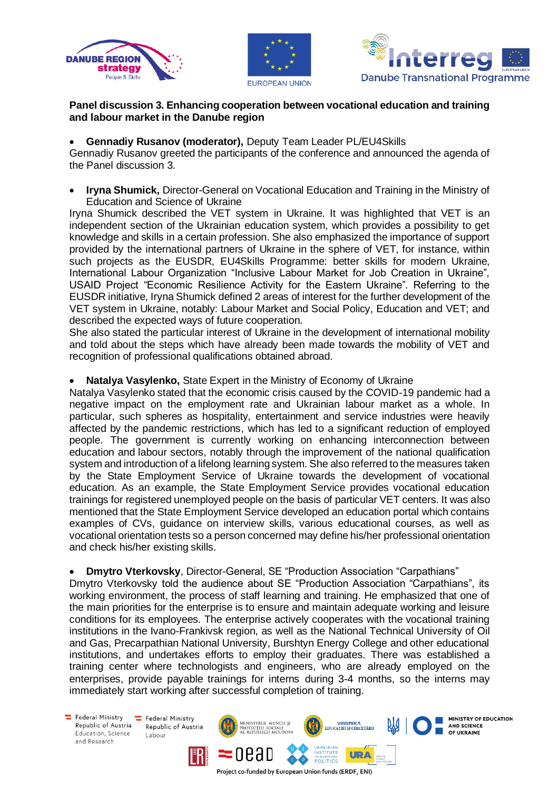





### **Panel discussion 3. Enhancing cooperation between vocational education and training and labour market in the Danube region**

# • **Gennadiy Rusanov (moderator),** Deputy Team Leader PL/EU4Skills

Gennadiy Rusanov greeted the participants of the conference and announced the agenda of the Panel discussion 3.

• **Iryna Shumick,** Director-General on Vocational Education and Training in the Ministry of Education and Science of Ukraine

Iryna Shumick described the VET system in Ukraine. It was highlighted that VET is an independent section of the Ukrainian education system, which provides a possibility to get knowledge and skills in a certain profession. She also emphasized the importance of support provided by the international partners of Ukraine in the sphere of VET, for instance, within such projects as the EUSDR, EU4Skills Programme: better skills for modern Ukraine, International Labour Organization "Inclusive Labour Market for Job Creation in Ukraine", USAID Project "Economic Resilience Activity for the Eastern Ukraine". Referring to the EUSDR initiative, Iryna Shumick defined 2 areas of interest for the further development of the VET system in Ukraine, notably: Labour Market and Social Policy, Education and VET; and described the expected ways of future cooperation.

She also stated the particular interest of Ukraine in the development of international mobility and told about the steps which have already been made towards the mobility of VET and recognition of professional qualifications obtained abroad.

# • **Natalya Vasylenko,** State Expert in the Ministry of Economy of Ukraine

Natalya Vasylenko stated that the economic crisis caused by the COVID-19 pandemic had a negative impact on the employment rate and Ukrainian labour market as a whole. In particular, such spheres as hospitality, entertainment and service industries were heavily affected by the pandemic restrictions, which has led to a significant reduction of employed people. The government is currently working on enhancing interconnection between education and labour sectors, notably through the improvement of the national qualification system and introduction of a lifelong learning system. She also referred to the measures taken by the State Employment Service of Ukraine towards the development of vocational education. As an example, the State Employment Service provides vocational education trainings for registered unemployed people on the basis of particular VET centers. It was also mentioned that the State Employment Service developed an education portal which contains examples of CVs, guidance on interview skills, various educational courses, as well as vocational orientation tests so a person concerned may define his/her professional orientation and check his/her existing skills.

• **Dmytro Vterkovsky**, Director-General, SE "Production Association "Carpathians"

Dmytro Vterkovsky told the audience about SE "Production Association "Carpathians", its working environment, the process of staff learning and training. He emphasized that one of the main priorities for the enterprise is to ensure and maintain adequate working and leisure conditions for its employees. The enterprise actively cooperates with the vocational training institutions in the Ivano-Frankivsk region, as well as the National Technical University of Oil and Gas, Precarpathian National University, Burshtyn Energy College and other educational institutions, and undertakes efforts to employ their graduates. There was established a training center where technologists and engineers, who are already employed on the enterprises, provide payable trainings for interns during 3-4 months, so the interns may immediately start working after successful completion of training.

Federal Ministry Republic of Austria Education, Science and Research

Federal Ministry Republic of Austria Labour

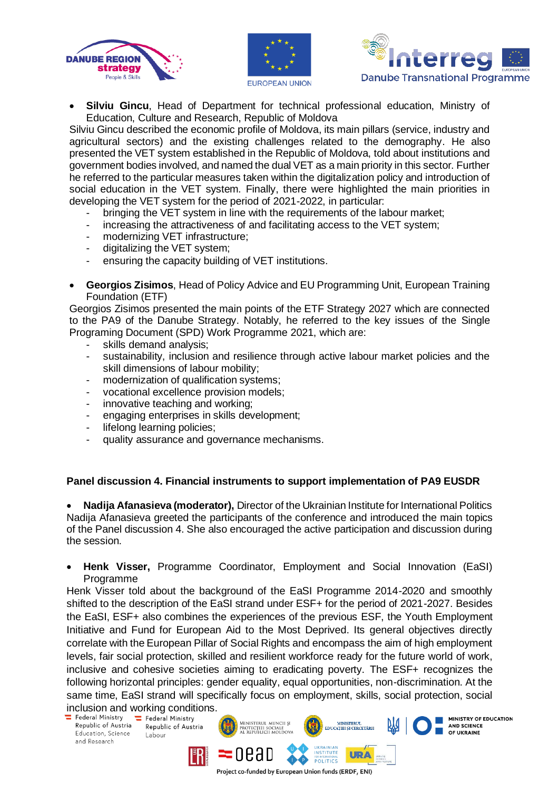





• **Silviu Gincu**, Head of Department for technical professional education, Ministry of Education, Culture and Research, Republic of Moldova

Silviu Gincu described the economic profile of Moldova, its main pillars (service, industry and agricultural sectors) and the existing challenges related to the demography. He also presented the VET system established in the Republic of Moldova, told about institutions and government bodies involved, and named the dual VET as a main priority in this sector. Further he referred to the particular measures taken within the digitalization policy and introduction of social education in the VET system. Finally, there were highlighted the main priorities in developing the VET system for the period of 2021-2022, in particular:

- bringing the VET system in line with the requirements of the labour market;
- increasing the attractiveness of and facilitating access to the VET system;
- modernizing VET infrastructure;
- digitalizing the VET system;
- ensuring the capacity building of VET institutions.
- **Georgios Zisimos**, Head of Policy Advice and EU Programming Unit, European Training Foundation (ETF)

Georgios Zisimos presented the main points of the ETF Strategy 2027 which are connected to the PA9 of the Danube Strategy. Notably, he referred to the key issues of the Single Programing Document (SPD) Work Programme 2021, which are:

- skills demand analysis;
- sustainability, inclusion and resilience through active labour market policies and the skill dimensions of labour mobility;
- modernization of qualification systems;
- vocational excellence provision models;
- innovative teaching and working;
- engaging enterprises in skills development;
- lifelong learning policies;
- quality assurance and governance mechanisms.

# **Panel discussion 4. Financial instruments to support implementation of PA9 EUSDR**

• **Nadija Afanasieva (moderator),** Director of the Ukrainian Institute for International Politics Nadija Afanasieva greeted the participants of the conference and introduced the main topics of the Panel discussion 4. She also encouraged the active participation and discussion during the session.

• **Henk Visser,** Programme Coordinator, Employment and Social Innovation (EaSI) Programme

Henk Visser told about the background of the EaSI Programme 2014-2020 and smoothly shifted to the description of the EaSI strand under ESF+ for the period of 2021-2027. Besides the EaSI, ESF+ also combines the experiences of the previous ESF, the Youth Employment Initiative and Fund for European Aid to the Most Deprived. Its general objectives directly correlate with the European Pillar of Social Rights and encompass the aim of high employment levels, fair social protection, skilled and resilient workforce ready for the future world of work, inclusive and cohesive societies aiming to eradicating poverty. The ESF+ recognizes the following horizontal principles: gender equality, equal opportunities, non-discrimination. At the same time, EaSI strand will specifically focus on employment, skills, social protection, social

inclusion and working conditions.<br>  $\overline{=}$  Federal Ministry  $\overline{=}$  Federal Ministry

Republic of Austria Education, Science and Research

Republic of Austria Labour